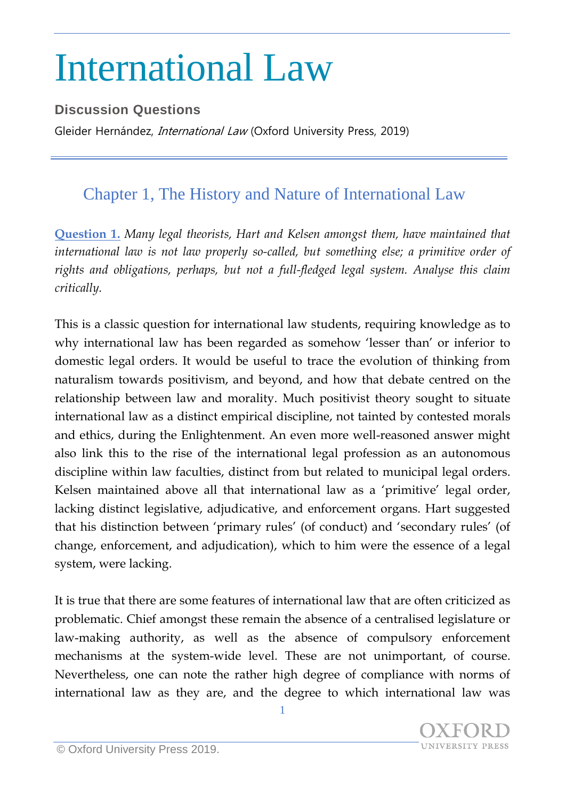## International Law

## **Discussion Questions**

Gleider Hernández, *International Law* (Oxford University Press, 2019)

## Chapter 1, The History and Nature of International Law

**Question 1.** *Many legal theorists, Hart and Kelsen amongst them, have maintained that international law is not law properly so-called, but something else; a primitive order of rights and obligations, perhaps, but not a full-fledged legal system. Analyse this claim critically.*

This is a classic question for international law students, requiring knowledge as to why international law has been regarded as somehow 'lesser than' or inferior to domestic legal orders. It would be useful to trace the evolution of thinking from naturalism towards positivism, and beyond, and how that debate centred on the relationship between law and morality. Much positivist theory sought to situate international law as a distinct empirical discipline, not tainted by contested morals and ethics, during the Enlightenment. An even more well-reasoned answer might also link this to the rise of the international legal profession as an autonomous discipline within law faculties, distinct from but related to municipal legal orders. Kelsen maintained above all that international law as a 'primitive' legal order, lacking distinct legislative, adjudicative, and enforcement organs. Hart suggested that his distinction between 'primary rules' (of conduct) and 'secondary rules' (of change, enforcement, and adjudication), which to him were the essence of a legal system, were lacking.

It is true that there are some features of international law that are often criticized as problematic. Chief amongst these remain the absence of a centralised legislature or law-making authority, as well as the absence of compulsory enforcement mechanisms at the system-wide level. These are not unimportant, of course. Nevertheless, one can note the rather high degree of compliance with norms of international law as they are, and the degree to which international law was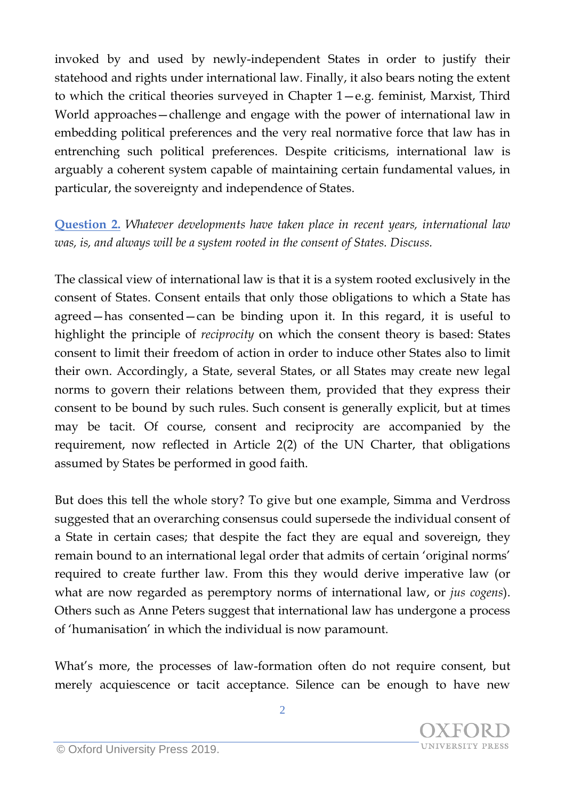invoked by and used by newly-independent States in order to justify their statehood and rights under international law. Finally, it also bears noting the extent to which the critical theories surveyed in Chapter 1—e.g. feminist, Marxist, Third World approaches—challenge and engage with the power of international law in embedding political preferences and the very real normative force that law has in entrenching such political preferences. Despite criticisms, international law is arguably a coherent system capable of maintaining certain fundamental values, in particular, the sovereignty and independence of States.

**Question 2.** *Whatever developments have taken place in recent years, international law was, is, and always will be a system rooted in the consent of States. Discuss.*

The classical view of international law is that it is a system rooted exclusively in the consent of States. Consent entails that only those obligations to which a State has agreed—has consented—can be binding upon it. In this regard, it is useful to highlight the principle of *reciprocity* on which the consent theory is based: States consent to limit their freedom of action in order to induce other States also to limit their own. Accordingly, a State, several States, or all States may create new legal norms to govern their relations between them, provided that they express their consent to be bound by such rules. Such consent is generally explicit, but at times may be tacit. Of course, consent and reciprocity are accompanied by the requirement, now reflected in Article 2(2) of the UN Charter, that obligations assumed by States be performed in good faith.

But does this tell the whole story? To give but one example, Simma and Verdross suggested that an overarching consensus could supersede the individual consent of a State in certain cases; that despite the fact they are equal and sovereign, they remain bound to an international legal order that admits of certain 'original norms' required to create further law. From this they would derive imperative law (or what are now regarded as peremptory norms of international law, or *jus cogens*). Others such as Anne Peters suggest that international law has undergone a process of 'humanisation' in which the individual is now paramount.

What's more, the processes of law-formation often do not require consent, but merely acquiescence or tacit acceptance. Silence can be enough to have new